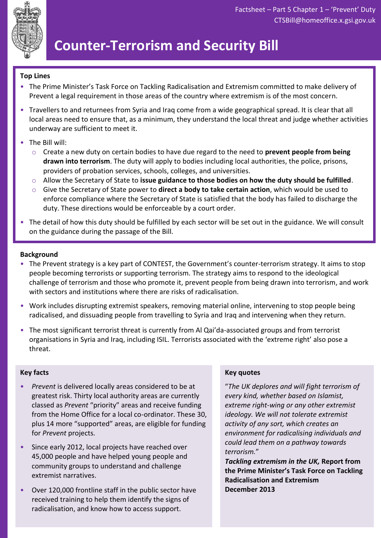

# **Counter-Terrorism and Security Bill**

### **Top Lines**

- The Prime Minister's Task Force on Tackling Radicalisation and Extremism committed to make delivery of Prevent a legal requirement in those areas of the country where extremism is of the most concern.
- Travellers to and returnees from Syria and Iraq come from a wide geographical spread. It is clear that all local areas need to ensure that, as a minimum, they understand the local threat and judge whether activities underway are sufficient to meet it.
- The Bill will:
	- o Create a new duty on certain bodies to have due regard to the need to **prevent people from being drawn into terrorism**. The duty will apply to bodies including local authorities, the police, prisons, providers of probation services, schools, colleges, and universities.
	- o Allow the Secretary of State to **issue guidance to those bodies on how the duty should be fulfilled**.
	- o Give the Secretary of State power to **direct a body to take certain action**, which would be used to enforce compliance where the Secretary of State is satisfied that the body has failed to discharge the duty. These directions would be enforceable by a court order.
- The detail of how this duty should be fulfilled by each sector will be set out in the guidance. We will consult on the guidance during the passage of the Bill.

#### **Background**

- The Prevent strategy is a key part of CONTEST, the Government's counter-terrorism strategy. It aims to stop people becoming terrorists or supporting terrorism. The strategy aims to respond to the ideological challenge of terrorism and those who promote it, prevent people from being drawn into terrorism, and work with sectors and institutions where there are risks of radicalisation.
- Work includes disrupting extremist speakers, removing material online, intervening to stop people being radicalised, and dissuading people from travelling to Syria and Iraq and intervening when they return.
- The most significant terrorist threat is currently from Al Qai'da-associated groups and from terrorist organisations in Syria and Iraq, including ISIL. Terrorists associated with the 'extreme right' also pose a threat.

#### **Key facts**

- *Prevent* is delivered locally areas considered to be at greatest risk. Thirty local authority areas are currently classed as *Prevent* "priority" areas and receive funding from the Home Office for a local co-ordinator. These 30, plus 14 more "supported" areas, are eligible for funding for *Prevent* projects.
- Since early 2012, local projects have reached over 45,000 people and have helped young people and community groups to understand and challenge extremist narratives.
- Over 120,000 frontline staff in the public sector have received training to help them identify the signs of radicalisation, and know how to access support.

#### **Key quotes**

"*The UK deplores and will fight terrorism of every kind, whether based on Islamist, extreme right-wing or any other extremist ideology. We will not tolerate extremist activity of any sort, which creates an environment for radicalising individuals and could lead them on a pathway towards terrorism.*"

*Tackling extremism in the UK,* **Report from the Prime Minister's Task Force on Tackling Radicalisation and Extremism December 2013**